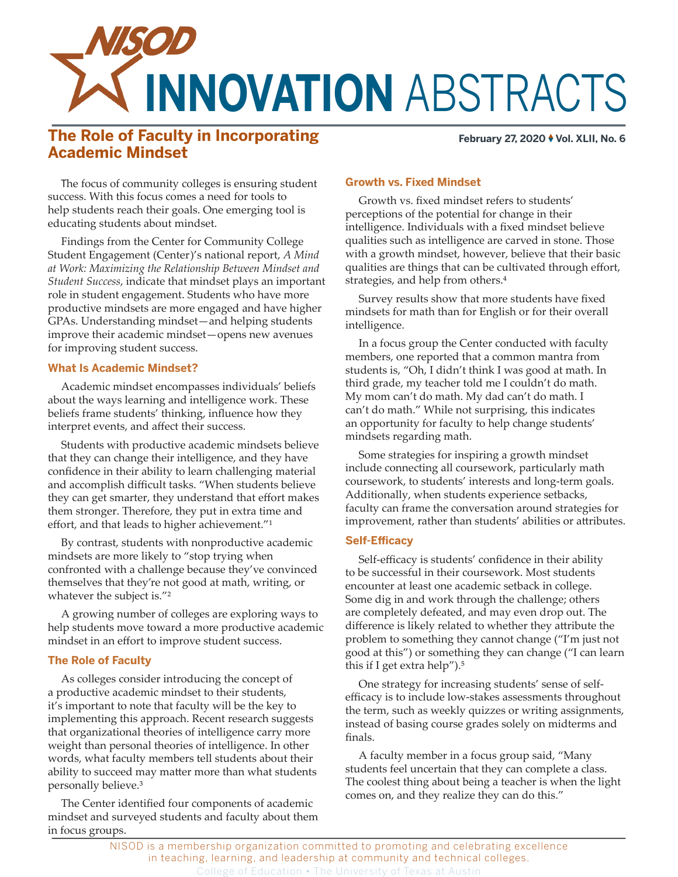

# **The Role of Faculty in Incorporating Academic Mindset**

**February 27, 2020 ♦ Vol. XLII, No. 6** 

The focus of community colleges is ensuring student success. With this focus comes a need for tools to help students reach their goals. One emerging tool is educating students about mindset.

Findings from the Center for Community College Student Engagement (Center)'s national report, *A Mind at Work: Maximizing the Relationship Between Mindset and Student Success*, indicate that mindset plays an important role in student engagement. Students who have more productive mindsets are more engaged and have higher GPAs. Understanding mindset—and helping students improve their academic mindset—opens new avenues for improving student success.

## **What Is Academic Mindset?**

Academic mindset encompasses individuals' beliefs about the ways learning and intelligence work. These beliefs frame students' thinking, influence how they interpret events, and affect their success.

Students with productive academic mindsets believe that they can change their intelligence, and they have confidence in their ability to learn challenging material and accomplish difficult tasks. "When students believe they can get smarter, they understand that effort makes them stronger. Therefore, they put in extra time and effort, and that leads to higher achievement."<sup>1</sup>

By contrast, students with nonproductive academic mindsets are more likely to "stop trying when confronted with a challenge because they've convinced themselves that they're not good at math, writing, or whatever the subject is."<sup>2</sup>

A growing number of colleges are exploring ways to help students move toward a more productive academic mindset in an effort to improve student success.

# **The Role of Faculty**

As colleges consider introducing the concept of a productive academic mindset to their students, it's important to note that faculty will be the key to implementing this approach. Recent research suggests that organizational theories of intelligence carry more weight than personal theories of intelligence. In other words, what faculty members tell students about their ability to succeed may matter more than what students personally believe.<sup>3</sup>

The Center identified four components of academic mindset and surveyed students and faculty about them in focus groups.

# **Growth vs. Fixed Mindset**

Growth vs. fixed mindset refers to students' perceptions of the potential for change in their intelligence. Individuals with a fixed mindset believe qualities such as intelligence are carved in stone. Those with a growth mindset, however, believe that their basic qualities are things that can be cultivated through effort, strategies, and help from others.<sup>4</sup>

Survey results show that more students have fixed mindsets for math than for English or for their overall intelligence.

In a focus group the Center conducted with faculty members, one reported that a common mantra from students is, "Oh, I didn't think I was good at math. In third grade, my teacher told me I couldn't do math. My mom can't do math. My dad can't do math. I can't do math." While not surprising, this indicates an opportunity for faculty to help change students' mindsets regarding math.

Some strategies for inspiring a growth mindset include connecting all coursework, particularly math coursework, to students' interests and long-term goals. Additionally, when students experience setbacks, faculty can frame the conversation around strategies for improvement, rather than students' abilities or attributes.

### **Self-Efficacy**

Self-efficacy is students' confidence in their ability to be successful in their coursework. Most students encounter at least one academic setback in college. Some dig in and work through the challenge; others are completely defeated, and may even drop out. The difference is likely related to whether they attribute the problem to something they cannot change ("I'm just not good at this") or something they can change ("I can learn this if I get extra help"). $5$ 

One strategy for increasing students' sense of selfefficacy is to include low-stakes assessments throughout the term, such as weekly quizzes or writing assignments, instead of basing course grades solely on midterms and finals.

A faculty member in a focus group said, "Many students feel uncertain that they can complete a class. The coolest thing about being a teacher is when the light comes on, and they realize they can do this."